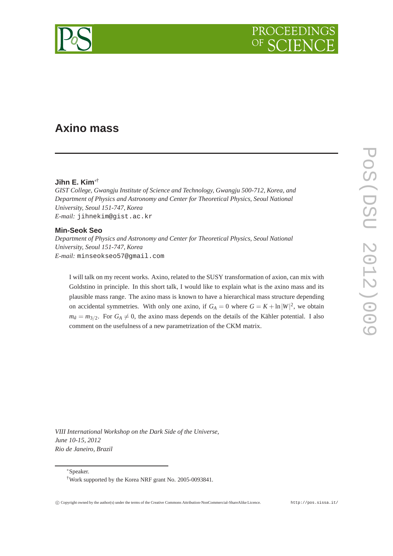

# **Axino mass**

### **Jihn E. Kim**∗†

*GIST College, Gwangju Institute of Science and Technology, Gwangju 500-712, Korea, and Department of Physics and Astronomy and Center for Theoretical Physics, Seoul National University, Seoul 151-747, Korea E-mail:* jihnekim@gist.ac.kr

#### **Min-Seok Seo**

*Department of Physics and Astronomy and Center for Theoretical Physics, Seoul National University, Seoul 151-747, Korea E-mail:* minseokseo57@gmail.com

I will talk on my recent works. Axino, related to the SUSY transformation of axion, can mix with Goldstino in principle. In this short talk, I would like to explain what is the axino mass and its plausible mass range. The axino mass is known to have a hierarchical mass structure depending on accidental symmetries. With only one axino, if  $G_A = 0$  where  $G = K + \ln |W|^2$ , we obtain  $m_{\tilde{a}} = m_{3/2}$ . For  $G_A \neq 0$ , the axino mass depends on the details of the Kähler potential. I also comment on the usefulness of a new parametrization of the CKM matrix.

*VIII International Workshop on the Dark Side of the Universe, June 10-15, 2012 Rio de Janeiro, Brazil*

∗Speaker.

<sup>†</sup>Work supported by the Korea NRF grant No. 2005-0093841.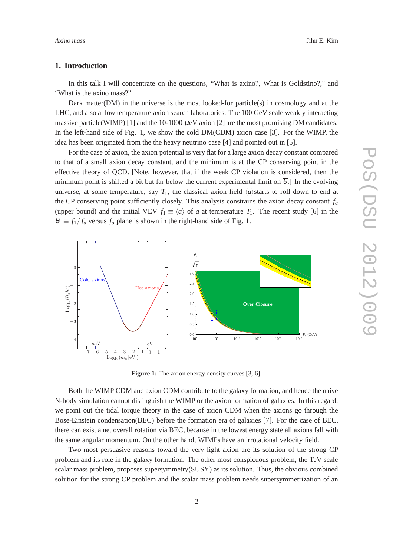## **1. Introduction**

In this talk I will concentrate on the questions, "What is axino?, What is Goldstino?," and "What is the axino mass?"

Dark matter(DM) in the universe is the most looked-for particle(s) in cosmology and at the LHC, and also at low temperature axion search laboratories. The 100 GeV scale weakly interacting massive particle(WIMP) [1] and the 10-1000  $\mu$ eV axion [2] are the most promising DM candidates. In the left-hand side of Fig. 1, we show the cold DM(CDM) axion case [3]. For the WIMP, the idea has been originated from the the heavy neutrino case [4] and pointed out in [5].

For the case of axion, the axion potential is very flat for a large axion decay constant compared to that of a small axion decay constant, and the minimum is at the CP conserving point in the effective theory of QCD. [Note, however, that if the weak CP violation is considered, then the minimum point is shifted a bit but far below the current experimental limit on  $\overline{\theta}$ . In the evolving universe, at some temperature, say  $T_1$ , the classical axion field  $\langle a \rangle$ starts to roll down to end at the CP conserving point sufficiently closely. This analysis constrains the axion decay constant  $f_a$ (upper bound) and the initial VEV  $f_1 \equiv \langle a \rangle$  of *a* at temperature  $T_1$ . The recent study [6] in the  $\theta_1 \equiv f_1/f_a$  versus  $f_a$  plane is shown in the right-hand side of Fig. 1.



**Figure 1:** The axion energy density curves [3, 6].

Both the WIMP CDM and axion CDM contribute to the galaxy formation, and hence the naive N-body simulation cannot distinguish the WIMP or the axion formation of galaxies. In this regard, we point out the tidal torque theory in the case of axion CDM when the axions go through the Bose-Einstein condensation(BEC) before the formation era of galaxies [7]. For the case of BEC, there can exist a net overall rotation via BEC, because in the lowest energy state all axions fall with the same angular momentum. On the other hand, WIMPs have an irrotational velocity field.

Two most persuasive reasons toward the very light axion are its solution of the strong CP problem and its role in the galaxy formation. The other most conspicuous problem, the TeV scale scalar mass problem, proposes supersymmetry(SUSY) as its solution. Thus, the obvious combined solution for the strong CP problem and the scalar mass problem needs supersymmetrization of an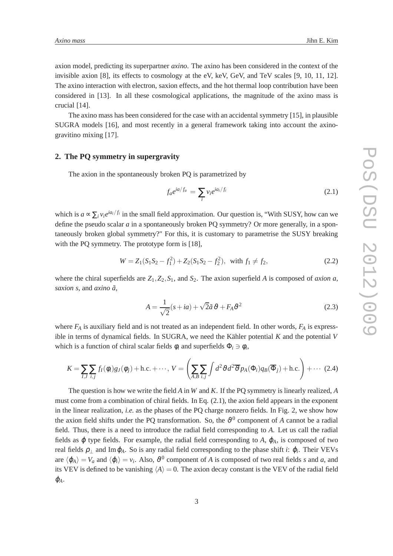The axino mass has been considered for the case with an accidental symmetry [15], in plausible SUGRA models [16], and most recently in a general framework taking into account the axinogravitino mixing [17].

#### **2. The PQ symmetry in supergravity**

The axion in the spontaneously broken PQ is parametrized by

$$
f_a e^{ia/f_a} = \sum_i v_i e^{ia_i/f_i}
$$
 (2.1)

which is  $a \propto \sum_i v_i e^{ia_i/f_i}$  in the small field approximation. Our question is, "With SUSY, how can we define the pseudo scalar *a* in a spontaneously broken PQ symmetry? Or more generally, in a spontaneously broken global symmetry?" For this, it is customary to parametrise the SUSY breaking with the PQ symmetry. The prototype form is [18],

$$
W = Z_1(S_1S_2 - f_1^2) + Z_2(S_1S_2 - f_2^2), \text{ with } f_1 \neq f_2,
$$
\n(2.2)

where the chiral superfields are  $Z_1$ ,  $Z_2$ ,  $S_1$ , and  $S_2$ . The axion superfield *A* is composed of *axion a*, *saxion s*, and *axino a*˜,

$$
A = \frac{1}{\sqrt{2}}(s + ia) + \sqrt{2}\tilde{a}\,\vartheta + F_A\vartheta^2\tag{2.3}
$$

where  $F_A$  is auxiliary field and is not treated as an independent field. In other words,  $F_A$  is expressible in terms of dynamical fields. In SUGRA, we need the Kähler potential *K* and the potential *V* which is a function of chiral scalar fields  $\phi_i$  and superfields  $\Phi_i \ni \phi_i$ ,

$$
K = \sum_{I,J} \sum_{i,j} f_I(\phi_i) g_J(\phi_j) + \text{h.c.} + \cdots, \ V = \left( \sum_{A,B} \sum_{i,j} \int d^2 \vartheta d^2 \overline{\vartheta} p_A(\Phi_i) q_B(\overline{\Phi}_j) + \text{h.c.} \right) + \cdots (2.4)
$$

The question is how we write the field *A* in *W* and *K*. If the PQ symmetry is linearly realized, *A* must come from a combination of chiral fields. In Eq. (2.1), the axion field appears in the exponent in the linear realization, *i.e.* as the phases of the PQ charge nonzero fields. In Fig. 2, we show how the axion field shifts under the PQ transformation. So, the  $\vartheta^0$  component of *A* cannot be a radial field. Thus, there is a need to introduce the radial field corresponding to *A*. Let us call the radial fields as  $\varphi$  type fields. For example, the radial field corresponding to A,  $\varphi_A$ , is composed of two real fields  $\rho_{\perp}$  and Im $\varphi_A$ . So is any radial field corresponding to the phase shift *i*:  $\varphi_i$ . Their VEVs are  $\langle \phi_A \rangle = V_a$  and  $\langle \phi_i \rangle = v_i$ . Also,  $\vartheta^0$  component of *A* is composed of two real fields *s* and *a*, and its VEV is defined to be vanishing  $\langle A \rangle = 0$ . The axion decay constant is the VEV of the radial field  $\varphi_A$ .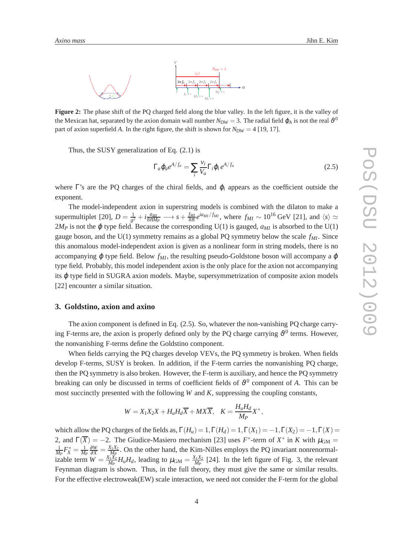

**Figure 2:** The phase shift of the PQ charged field along the blue valley. In the left figure, it is the valley of the Mexican hat, separated by the axion domain wall number  $N_{\rm DW}=3$ . The radial field  $\varphi_A$  is not the real  $\vartheta^0$ part of axion superfield *A*. In the right figure, the shift is shown for  $N_{DW} = 4$  [19, 17].

Thus, the SUSY generalization of Eq. (2.1) is

$$
\Gamma_a \varphi_a e^{A/f_a} = \sum_i \frac{v_i}{V_a} \Gamma_i \varphi_i e^{A/f_a}
$$
\n(2.5)

where  $\Gamma$ 's are the PQ charges of the chiral fields, and  $\varphi_i$  appears as the coefficient outside the exponent.

The model-independent axion in superstring models is combined with the dilaton to make a supermultiplet [20],  $D = \frac{1}{a^2}$  $\frac{1}{g^2}+i\frac{a_{Ml}}{8\pi M}$  $\frac{a_{ML}}{8\pi M_P}$  → *s* +  $\frac{f_{ML}}{8\pi}e^{ia_{ML}/f_{ML}}$ , where  $f_{ML} \sim 10^{16}$  GeV [21], and  $\langle s \rangle \simeq$  $2M_P$  is not the  $\varphi$  type field. Because the corresponding U(1) is gauged,  $a_{MI}$  is absorbed to the U(1) gauge boson, and the U(1) symmetry remains as a global PQ symmetry below the scale *fMI*. Since this anomalous model-independent axion is given as a nonlinear form in string models, there is no accompanying  $\varphi$  type field. Below  $f_{MI}$ , the resulting pseudo-Goldstone boson will accompany a  $\varphi$ type field. Probably, this model independent axion is the only place for the axion not accompanying its  $\varphi$  type field in SUGRA axion models. Maybe, supersymmetrization of composite axion models [22] encounter a similar situation.

## **3. Goldstino, axion and axino**

The axion component is defined in Eq. (2.5). So, whatever the non-vanishing PQ charge carrying F-terms are, the axion is properly defined only by the PQ charge carrying  $\vartheta^0$  terms. However, the nonvanishing F-terms define the Goldstino component.

When fields carrying the PQ charges develop VEVs, the PQ symmetry is broken. When fields develop F-terms, SUSY is broken. In addition, if the F-term carries the nonvanishing PQ charge, then the PQ symmetry is also broken. However, the F-term is auxiliary, and hence the PQ symmetry breaking can only be discussed in terms of coefficient fields of  $\vartheta^0$  component of *A*. This can be most succinctly presented with the following *W* and *K*, suppressing the coupling constants,

$$
W = X_1 X_2 X + H_u H_d \overline{X} + M X \overline{X}, \quad K = \frac{H_u H_d}{M_P} X^*,
$$

which allow the PQ charges of the fields as,  $\Gamma(H_u) = 1, \Gamma(H_d) = 1, \Gamma(X_1) = -1, \Gamma(X_2) = -1, \Gamma(X) = -1$ 2, and  $\Gamma(\overline{X}) = -2$ . The Giudice-Masiero mechanism [23] uses  $F^*$ -term of  $X^*$  in  $K$  with  $\mu_{GM} =$ 1  $\frac{1}{M_P}F_X^* = \frac{1}{M_P}$ *M<sup>P</sup>*  $\frac{\partial W}{\partial X} = \frac{X_1 X_2}{M_P}$  $\frac{M_1X_2}{M_P}$ . On the other hand, the Kim-Nilles employs the PQ invariant nonrenormalizable term  $W = \frac{X_1 X_2}{M_P}$  $\frac{X_1 X_2}{M_P} H_u H_d$ , leading to  $\mu_{\text{GM}} = \frac{X_1 X_2}{M_P}$  $\frac{M_1X_2}{M_P}$  [24]. In the left figure of Fig. 3, the relevant Feynman diagram is shown. Thus, in the full theory, they must give the same or similar results. For the effective electroweak(EW) scale interaction, we need not consider the F-term for the global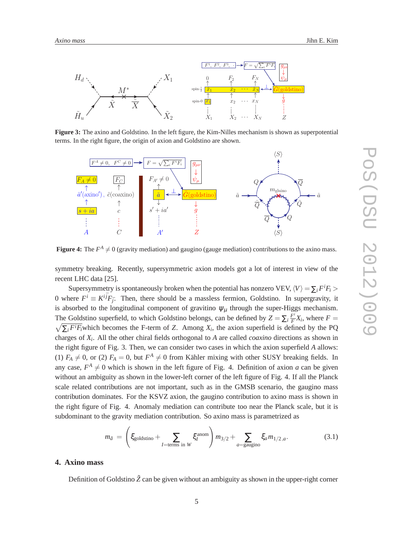

**Figure 3:** The axino and Goldstino. In the left figure, the Kim-Nilles mechanism is shown as superpotential terms. In the right figure, the origin of axion and Goldstino are shown.



**Figure 4:** The  $F^A \neq 0$  (gravity mediation) and gaugino (gauge mediation) contributions to the axino mass.

symmetry breaking. Recently, supersymmetric axion models got a lot of interest in view of the recent LHC data [25].

Supersymmetry is spontaneously broken when the potential has nonzero VEV,  $\langle V \rangle = \sum_i F^i F_i >$ 0 where  $F^i \equiv K^{i\bar{j}}F_{\bar{j}}$ . Then, there should be a massless fermion, Goldstino. In supergravity, it is absorbed to the longitudinal component of gravitino  $\psi_{\mu}$  through the super-Higgs mechanism. The Goldstino superfield, to which Goldstino belongs, can be defined by  $Z = \sum_i \frac{F^i}{F}$  $\frac{F^i}{F}X_i$ , where  $F =$  $\sqrt{\sum_i F^i F_i}$  which becomes the F-term of *Z*. Among  $X_i$ , the axion superfield is defined by the PQ charges of *X<sup>i</sup>* . All the other chiral fields orthogonal to *A* are called *coaxino* directions as shown in the right figure of Fig. 3. Then, we can consider two cases in which the axion superfield *A* allows: (1)  $F_A \neq 0$ , or (2)  $F_A = 0$ , but  $F^A \neq 0$  from Kähler mixing with other SUSY breaking fields. In any case,  $F^A \neq 0$  which is shown in the left figure of Fig. 4. Definition of axion *a* can be given without an ambiguity as shown in the lower-left corner of the left figure of Fig. 4. If all the Planck scale related contributions are not important, such as in the GMSB scenario, the gaugino mass contribution dominates. For the KSVZ axion, the gaugino contribution to axino mass is shown in the right figure of Fig. 4. Anomaly mediation can contribute too near the Planck scale, but it is subdominant to the gravity mediation contribution. So axino mass is parametrized as

$$
m_{\tilde{a}} = \left(\xi_{\text{goldstino}} + \sum_{I = \text{terms in } W} \xi_I^{\text{anom}}\right) m_{3/2} + \sum_{a = \text{gaugino}} \xi_a m_{1/2, a}.\tag{3.1}
$$

## **4. Axino mass**

Definition of Goldstino  $\tilde{Z}$  can be given without an ambiguity as shown in the upper-right corner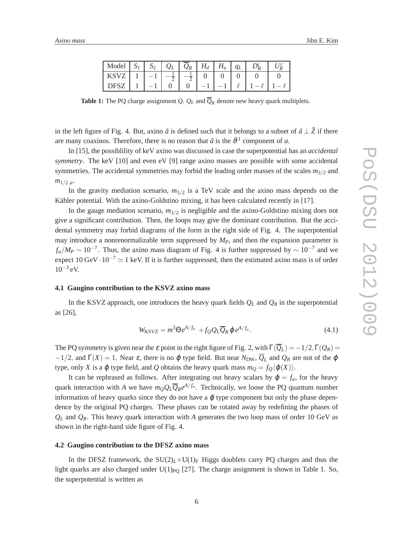| Model             | $S_2$ | $Q_L$ | $Q_R$   $H_d$ | $H_u$ |  |  |
|-------------------|-------|-------|---------------|-------|--|--|
| KSVZ              |       |       |               |       |  |  |
| DFSZ <sup>1</sup> | $-1$  |       |               |       |  |  |

**Table 1:** The PQ charge assignment *Q.*  $Q_L$  and  $\overline{Q}_R$  denote new heavy quark multiplets.

in the left figure of Fig. 4. But, axino  $\tilde{a}$  is defined such that it belongs to a subset of  $\tilde{a} \perp \tilde{z}$  if there are many coaxinos. Therefore, there is no reason that  $\tilde{a}$  is the  $\vartheta^1$  component of *a*.

In [15], the possiblility of keV axino was discussed in case the superpotential has an *accidental symmetry*. The keV [10] and even eV [9] range axino masses are possible with some accidental symmetries. The accidental symmetries may forbid the leading order masses of the scales  $m_{3/2}$  and  $m_{1/2,a}$ .

In the gravity mediation scenario,  $m_{3/2}$  is a TeV scale and the axino mass depends on the Kähler potential. With the axino-Goldstino mixing, it has been calculated recently in [17].

In the gauge mediation scenario,  $m_{3/2}$  is negligible and the axino-Goldstino mixing does not give a significant contribution. Then, the loops may give the dominant contribution. But the accidental symmetry may forbid diagrams of the form in the right side of Fig. 4. The superpotential may introduce a nonrenormalizable term suppressed by  $M<sub>P</sub>$ , and then the expansion parameter is  $f_a/M_P \sim 10^{-7}$ . Thus, the axino mass diagram of Fig. 4 is further suppressed by  $\sim 10^{-7}$  and we expect 10 GeV $\cdot$  10<sup>-7</sup>  $\simeq$  1 keV. If it is further suppressed, then the estimated axino mass is of order  $10^{-3}$  eV.

## **4.1 Gaugino contribution to the KSVZ axino mass**

In the KSVZ approach, one introduces the heavy quark fields  $Q_L$  and  $Q_R$  in the superpotential as [26],

$$
W_{\text{KSVZ}} = m^3 \Theta e^{A/f_a} + f_Q Q_L \overline{Q}_R \varphi e^{A/f_a}.
$$
 (4.1)

The PQ symmetry is given near the  $\varepsilon$  point in the right figure of Fig. 2, with  $\Gamma(Q_L) = -1/2$ ,  $\Gamma(Q_R) =$  $-1/2$ , and  $\Gamma(X) = 1$ . Near  $\varepsilon$ , there is no  $\varphi$  type field. But near  $N_{DW}$ ,  $\overline{Q}_L$  and  $Q_R$  are not of the  $\varphi$ type, only *X* is a  $\varphi$  type field, and *Q* obtains the heavy quark mass  $m_Q = f_Q \langle \varphi(X) \rangle$ .

It can be rephrased as follows. After integrating out heavy scalars by  $\varphi = f_a$ , for the heavy quark interaction with *A* we have  $m_Q Q_L \overline{Q}_R e^{A/f_a}$ . Technically, we loose the PQ quantum number information of heavy quarks since they do not have a  $\varphi$  type component but only the phase dependence by the original PQ charges. These phases can be rotated away by redefining the phases of  $Q_L$  and  $Q_R$ . This heavy quark interaction with *A* generates the two loop mass of order 10 GeV as shown in the right-hand side figure of Fig. 4.

#### **4.2 Gaugino contribution to the DFSZ axino mass**

In the DFSZ framework, the  $SU(2)_L\times U(1)_Y$  Higgs doublets carry PQ charges and thus the light quarks are also charged under  $U(1)_{PQ}$  [27]. The charge assignment is shown in Table 1. So, the superpotential is written as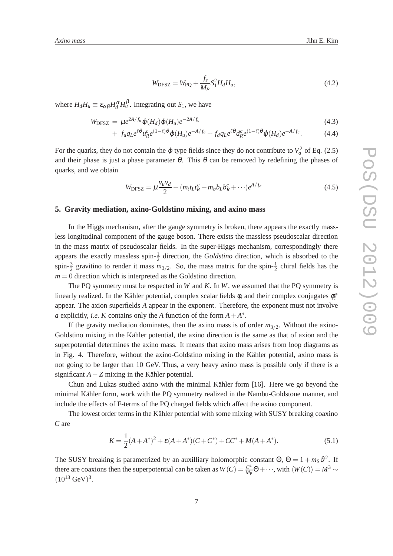$$
W_{\text{DFSZ}} = W_{\text{PQ}} + \frac{f_s}{M_P} S_1^2 H_d H_u, \tag{4.2}
$$

where  $H_d H_u \equiv \varepsilon_{\alpha\beta} H_d^{\alpha} H_u^{\beta}$ . Integrating out  $S_1$ , we have

$$
W_{\text{DFSZ}} = \mu e^{2A/f_a} \varphi(H_d) \varphi(H_u) e^{-2A/f_a}
$$
\n(4.3)

$$
+ f_u q_L e^{\ell \theta} u_R^c e^{(1-\ell)\theta} \varphi(H_u) e^{-A/f_a} + f_d q_L e^{\ell \theta} d_R^c e^{(1-\ell)\theta} \varphi(H_d) e^{-A/f_a}.
$$
 (4.4)

For the quarks, they do not contain the  $\varphi$  type fields since they do not contribute to  $V_a^2$  of Eq. (2.5) and their phase is just a phase parameter  $\theta$ . This  $\theta$  can be removed by redefining the phases of quarks, and we obtain

$$
W_{\text{DFSZ}} = \mu \frac{v_u v_d}{2} + (m_t t_L t_R^c + m_b b_L b_R^c + \cdots) e^{A/f_a}
$$
(4.5)

## **5. Gravity mediation, axino-Goldstino mixing, and axino mass**

In the Higgs mechanism, after the gauge symmetry is broken, there appears the exactly massless longitudinal component of the gauge boson. There exists the massless pseudoscalar direction in the mass matrix of pseudoscalar fields. In the super-Higgs mechanism, correspondingly there appears the exactly massless spin- $\frac{1}{2}$  direction, the *Goldstino* direction, which is absorbed to the spin- $\frac{3}{2}$  gravitino to render it mass  $m_{3/2}$ . So, the mass matrix for the spin- $\frac{1}{2}$  chiral fields has the  $m = 0$  direction which is interpreted as the Goldstino direction.

The PQ symmetry must be respected in *W* and *K*. In *W*, we assumed that the PQ symmetry is linearly realized. In the Kähler potential, complex scalar fields  $\phi_i$  and their complex conjugates  $\phi_i^*$ appear. The axion superfields *A* appear in the exponent. Therefore, the exponent must not involve *a* explicitly, *i.e. K* contains only the *A* function of the form  $A + A^*$ .

If the gravity mediation dominates, then the axino mass is of order  $m_{3/2}$ . Without the axino-Goldstino mixing in the Kähler potential, the axino direction is the same as that of axion and the superpotential determines the axino mass. It means that axino mass arises from loop diagrams as in Fig. 4. Therefore, without the axino-Goldstino mixing in the Kähler potential, axino mass is not going to be larger than 10 GeV. Thus, a very heavy axino mass is possible only if there is a significant *A*−*Z* mixing in the Kähler potential.

Chun and Lukas studied axino with the minimal Kähler form [16]. Here we go beyond the minimal Kähler form, work with the PQ symmetry realized in the Nambu-Goldstone manner, and include the effects of F-terms of the PQ charged fields which affect the axino component.

The lowest order terms in the Kähler potential with some mixing with SUSY breaking coaxino *C* are

$$
K = \frac{1}{2}(A + A^*)^2 + \varepsilon (A + A^*)(C + C^*) + CC^* + M(A + A^*).
$$
\n(5.1)

The SUSY breaking is parametrized by an auxilliary holomorphic constant  $\Theta$ ,  $\Theta = 1 + m<sub>S</sub> \vartheta^2$ . If there are coaxions then the superpotential can be taken as  $W(C) = \frac{C^4}{M}$  $\frac{C^4}{M_P}$ ⊖ + ···, with  $\langle W(C) \rangle = M^3$  ∼  $(10^{13} \text{ GeV})^3$ .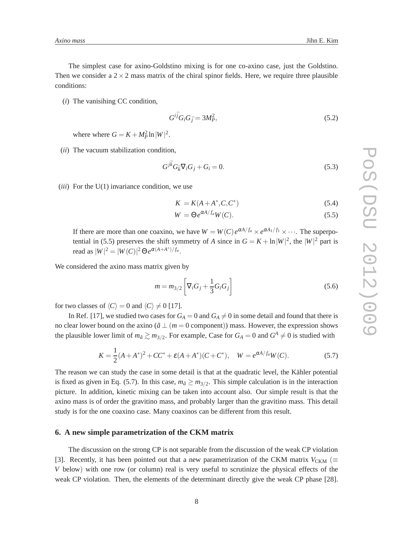The simplest case for axino-Goldstino mixing is for one co-axino case, just the Goldstino. Then we consider a  $2 \times 2$  mass matrix of the chiral spinor fields. Here, we require three plausible conditions:

(*i*) The vanisihing CC condition,

$$
G^{i\bar{j}}G_iG_{\bar{j}} = 3M_P^2,\tag{5.2}
$$

where where  $G = K + M_P^2 \ln|W|^2$ .

(*ii*) The vacuum stabilization condition,

$$
G^{j\bar{k}}G_{\bar{k}}\nabla_i G_j + G_i = 0. \tag{5.3}
$$

(*iii*) For the U(1) invariance condition, we use

$$
K = K(A + A^*, C, C^*)
$$
\n
$$
(5.4)
$$

$$
W = \Theta e^{\alpha A/f_a} W(C). \tag{5.5}
$$

If there are more than one coaxino, we have  $W = W(C) e^{\alpha A/f_a} \times e^{\alpha A_1/f_1} \times \cdots$ . The superpotential in (5.5) preserves the shift symmetry of *A* since in  $G = K + \ln |W|^2$ , the  $|W|^2$  part is read as  $|W|^2 = |W(C)|^2 \Theta e^{\alpha(A+A^*)/f_a}$ .

We considered the axino mass matrix given by

$$
m = m_{3/2} \left[ \nabla_i G_j + \frac{1}{3} G_i G_j \right]
$$
 (5.6)

for two classes of  $\langle C \rangle = 0$  and  $\langle C \rangle \neq 0$  [17].

In Ref. [17], we studied two cases for  $G_A = 0$  and  $G_A \neq 0$  in some detail and found that there is no clear lower bound on the axino ( $\tilde{a} \perp (m = 0 \text{ component})$ ) mass. However, the expression shows the plausible lower limit of  $m_{\tilde{a}} \gtrsim m_{3/2}$ . For example, Case for  $G_A = 0$  and  $G^A \neq 0$  is studied with

$$
K = \frac{1}{2}(A + A^*)^2 + CC^* + \varepsilon (A + A^*)(C + C^*), \quad W = e^{\alpha A/f_a}W(C).
$$
 (5.7)

The reason we can study the case in some detail is that at the quadratic level, the Kähler potential is fixed as given in Eq. (5.7). In this case,  $m_{\tilde{a}} \ge m_{3/2}$ . This simple calculation is in the interaction picture. In addition, kinetic mixing can be taken into account also. Our simple result is that the axino mass is of order the gravitino mass, and probably larger than the gravitino mass. This detail study is for the one coaxino case. Many coaxinos can be different from this result.

#### **6. A new simple parametrization of the CKM matrix**

The discussion on the strong CP is not separable from the discussion of the weak CP violation [3]. Recently, it has been pointed out that a new parametrization of the CKM matrix  $V_{CKM}$  ( $\equiv$ *V* below) with one row (or column) real is very useful to scrutinize the physical effects of the weak CP violation. Then, the elements of the determinant directly give the weak CP phase [28].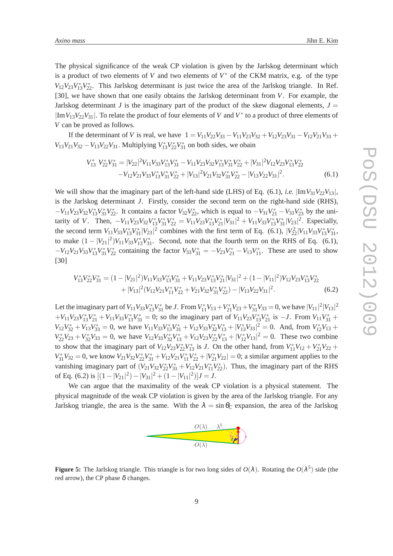*Axino mass* Jihn E. Kim

The physical significance of the weak CP violation is given by the Jarlskog determinant which is a product of two elements of *V* and two elements of  $V^*$  of the CKM matrix, e.g. of the type  $V_{12}V_{23}V_{13}^*V_{22}^*$ . This Jarlskog determinant is just twice the area of the Jarlskog triangle. In Ref. [30], we have shown that one easily obtains the Jarlskog determinant from *V*. For example, the Jarlskog determinant *J* is the imaginary part of the product of the skew diagonal elements,  $J =$ |Im*V*13*V*22*V*31|. To relate the product of four elements of *V* and *V* ∗ to a product of three elements of *V* can be proved as follows.

If the determinant of *V* is real, we have  $1 = V_{11}V_{22}V_{33} - V_{11}V_{23}V_{32} + V_{12}V_{23}V_{31} - V_{12}V_{21}V_{33} +$  $V_{13}V_{21}V_{32} - V_{13}V_{22}V_{31}$ . Multiplying  $V_{13}^*V_{22}^*V_{31}^*$  on both sides, we obain

$$
V_{13}^* V_{22}^* V_{31}^* = |V_{22}|^2 V_{11} V_{33} V_{13}^* V_{31}^* - V_{11} V_{23} V_{32} V_{13}^* V_{31}^* V_{22}^* + |V_{31}|^2 V_{12} V_{23} V_{13}^* V_{22}^*
$$
  
-
$$
V_{12} V_{21} V_{33} V_{13}^* V_{31}^* V_{22}^* + |V_{13}|^2 V_{21} V_{32} V_{31}^* V_{22}^* - |V_{13} V_{22} V_{31}|^2.
$$
 (6.1)

We will show that the imaginary part of the left-hand side (LHS) of Eq. (6.1), *i.e.*  $\lim V_{31}V_{22}V_{13}$ , is the Jarlskog determinant *J*. Firstly, consider the second term on the right-hand side (RHS),  $-V_{11}V_{23}V_{32}V_{13}^*V_{31}^*V_{22}^*$ . It contains a factor  $V_{32}V_{22}^*$ , which is equal to  $-V_{31}V_{21}^* - V_{33}V_{23}^*$  by the unitarity of *V*. Then,  $-V_{11}V_{23}V_{32}V_{13}^*V_{31}^*V_{22}^* = V_{11}V_{23}V_{13}^*V_{21}^*|V_{31}|^2 + V_{11}V_{33}V_{13}^*V_{31}^*|V_{23}|^2$ . Especially, the second term  $V_{11}V_{33}V_{13}^*V_{31}^*|V_{23}|^2$  combines with the first term of Eq. (6.1),  $|V_{22}^2|V_{11}V_{33}V_{13}^*V_{31}^*$ , to make  $(1 - |V_{21}|^2) V_{11} V_{33} V_{13}^* V_{31}^*$ . Second, note that the fourth term on the RHS of Eq. (6.1),  $-V_{12}V_{21}V_{33}V_{13}^*V_{31}^*V_{22}^*$  containing the factor  $V_{33}V_{31}^* = -V_{23}V_{21}^* - V_{13}V_{11}^*$ . These are used to show [30]

$$
V_{13}^* V_{22}^* V_{31}^* = (1 - |V_{21}|^2) V_{11} V_{33} V_{13}^* V_{31}^* + V_{11} V_{23} V_{13}^* V_{21}^* |V_{31}|^2 + (1 - |V_{11}|^2) V_{12} V_{23} V_{13}^* V_{22}^*
$$
  
+ 
$$
|V_{13}|^2 (V_{12} V_{21} V_{11}^* V_{22}^* + V_{21} V_{32} V_{31}^* V_{22}^*) - |V_{13} V_{22} V_{31}|^2.
$$
 (6.2)

Let the imaginary part of  $V_{11}V_{33}V_{13}^*V_{31}^*$  be *J*. From  $V_{11}^*V_{13} + V_{21}^*V_{23} + V_{31}^*V_{33} = 0$ , we have  $|V_{11}|^2|V_{13}|^2$  $+V_{11}V_{23}V_{13}^*V_{21}^* + V_{11}V_{33}V_{13}^*V_{31}^* = 0$ ; so the imaginary part of  $V_{11}V_{23}V_{13}^*V_{21}^*$  is  $-J$ . From  $V_{11}V_{31}^* +$  $V_{12}V_{32}^* + V_{13}V_{33}^* = 0$ , we have  $V_{11}V_{33}V_{13}^*V_{31}^* + V_{12}V_{33}V_{32}^*V_{13}^* + |V_{13}^*V_{33}|^2 = 0$ . And, from  $V_{12}^*V_{13}$  +  $V_{22}^* V_{23} + V_{32}^* V_{33} = 0$ , we have  $V_{12} V_{33} V_{32}^* V_{13}^* + V_{12} V_{23} V_{22}^* V_{13}^* + |V_{12}^* V_{13}|^2 = 0$ . These two combine to show that the imaginary part of  $V_{12}V_{23}V_{22}^*V_{13}^*$  is *J*. On the other hand, from  $V_{11}^*V_{12} + V_{21}^*V_{22} +$  $V_{31}^*V_{32} = 0$ , we know  $V_{21}V_{32}V_{22}^*V_{31}^* + V_{12}V_{21}V_{11}^*V_{22}^* + |V_{21}^*V_{22}| = 0$ ; a similar argument applies to the vanishing imaginary part of  $(V_{21}V_{32}V_{22}^*V_{31}^* + V_{12}V_{21}V_{11}^*V_{22}^*)$ . Thus, the imaginary part of the RHS of Eq. (6.2) is  $[(1 - |V_{21}|^2) - |V_{31}|^2 + (1 - |V_{11}|^2)]J = J$ .

We can argue that the maximality of the weak CP violation is a physical statement. The physical magnitude of the weak CP violation is given by the area of the Jarlskog triangle. For any Jarlskog triangle, the area is the same. With the  $\lambda = \sin \theta_C$  expansion, the area of the Jarlskog



**Figure 5:** The Jarlskog triangle. This triangle is for two long sides of  $O(\lambda)$ . Rotating the  $O(\lambda^5)$  side (the red arrow), the CP phase  $\delta$  changes.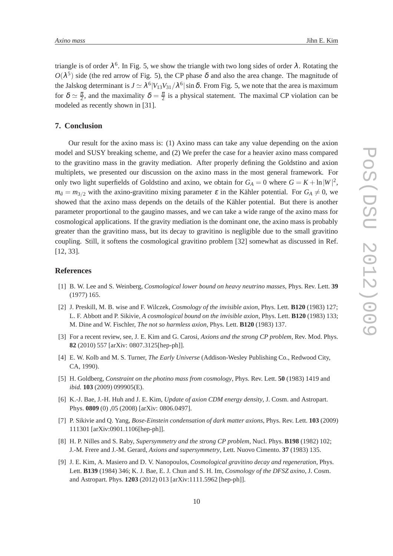triangle is of order  $\lambda^6$ . In Fig. 5, we show the triangle with two long sides of order  $\lambda$ . Rotating the  $O(\lambda^5)$  side (the red arrow of Fig. 5), the CP phase  $\delta$  and also the area change. The magnitude of the Jalskog determinant is  $J \simeq \lambda^6 |V_{13}V_{31}/\lambda^6| \sin \delta$ . From Fig. 5, we note that the area is maximum for  $\delta \simeq \frac{\pi}{2}$ , and the maximality  $\delta = \frac{\pi}{2}$  is a physical statement. The maximal CP violation can be modeled as recently shown in [31].

## **7. Conclusion**

Our result for the axino mass is: (1) Axino mass can take any value depending on the axion model and SUSY breaking scheme, and (2) We prefer the case for a heavier axino mass compared to the gravitino mass in the gravity mediation. After properly defining the Goldstino and axion multiplets, we presented our discussion on the axino mass in the most general framework. For only two light superfields of Goldstino and axino, we obtain for  $G_A = 0$  where  $G = K + \ln|W|^2$ ,  $m_{\tilde{a}} = m_{3/2}$  with the axino-gravitino mixing parameter  $\varepsilon$  in the Kähler potential. For  $G_A \neq 0$ , we showed that the axino mass depends on the details of the Kähler potential. But there is another parameter proportional to the gaugino masses, and we can take a wide range of the axino mass for cosmological applications. If the gravity mediation is the dominant one, the axino mass is probably greater than the gravitino mass, but its decay to gravitino is negligible due to the small gravitino coupling. Still, it softens the cosmological gravitino problem [32] somewhat as discussed in Ref. [12, 33].

## **References**

- [1] B. W. Lee and S. Weinberg, *Cosmological lower bound on heavy neutrino masses*, Phys. Rev. Lett. **39** (1977) 165.
- [2] J. Preskill, M. B. wise and F. Wilczek, *Cosmology of the invisible axion*, Phys. Lett. **B120** (1983) 127; L. F. Abbott and P. Sikivie, *A cosmological bound on the invisible axion*, Phys. Lett. **B120** (1983) 133; M. Dine and W. Fischler, *The not so harmless axion*, Phys. Lett. **B120** (1983) 137.
- [3] For a recent review, see, J. E. Kim and G. Carosi, *Axions and the strong CP problem*, Rev. Mod. Phys. **82** (2010) 557 [arXiv: 0807.3125[hep-ph]].
- [4] E. W. Kolb and M. S. Turner, *The Early Universe* (Addison-Wesley Publishing Co., Redwood City, CA, 1990).
- [5] H. Goldberg, *Constraint on the photino mass from cosmology*, Phys. Rev. Lett. **50** (1983) 1419 and *ibid.* **103** (2009) 099905(E).
- [6] K.-J. Bae, J.-H. Huh and J. E. Kim, *Update of axion CDM energy density*, J. Cosm. and Astropart. Phys. **0809** (0) ,05 (2008) [arXiv: 0806.0497].
- [7] P. Sikivie and Q. Yang, *Bose-Einstein condensation of dark matter axions*, Phys. Rev. Lett. **103** (2009) 111301 [arXiv:0901.1106[hep-ph]].
- [8] H. P. Nilles and S. Raby, *Supersymmetry and the strong CP problem*, Nucl. Phys. **B198** (1982) 102; J.-M. Frere and J.-M. Gerard, *Axions and supersymmetry*, Lett. Nuovo Cimento. **37** (1983) 135.
- [9] J. E. Kim, A. Masiero and D. V. Nanopoulos, *Cosmological gravitino decay and regeneration*, Phys. Lett. **B139** (1984) 346; K. J. Bae, E. J. Chun and S. H. Im, *Cosmology of the DFSZ axino*, J. Cosm. and Astropart. Phys. **1203** (2012) 013 [arXiv:1111.5962 [hep-ph]].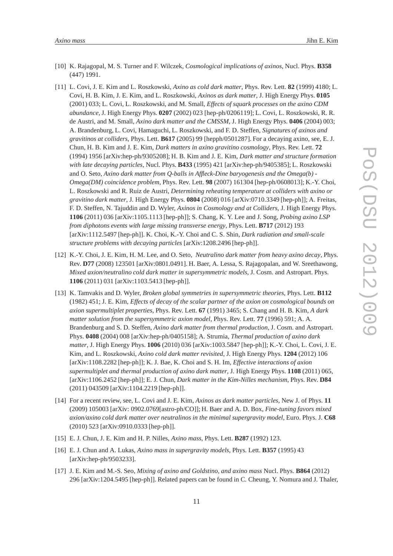- [10] K. Rajagopal, M. S. Turner and F. Wilczek, *Cosmological implications of axinos*, Nucl. Phys. **B358** (447) 1991.
- [11] L. Covi, J. E. Kim and L. Roszkowski, *Axino as cold dark matter*, Phys. Rev. Lett. **82** (1999) 4180; L. Covi, H. B. Kim, J. E. Kim, and L. Roszkowski, *Axinos as dark matter*, J. High Energy Phys. **0105** (2001) 033; L. Covi, L. Roszkowski, and M. Small, *Effects of squark processes on the axino CDM abundance*, J. High Energy Phys. **0207** (2002) 023 [hep-ph/0206119]; L. Covi, L. Roszkowski, R. R. de Austri, and M. Small, *Axino dark matter and the CMSSM*, J. High Energy Phys. **0406** (2004) 003; A. Brandenburg, L. Covi, Hamaguchi, L. Roszkowski, and F. D. Steffen, *Signatures of axinos and gravitinos at colliders*, Phys. Lett. **B617** (2005) 99 [hepph/0501287]. For a decaying axino, see, E. J. Chun, H. B. Kim and J. E. Kim, *Dark matters in axino gravitino cosmology*, Phys. Rev. Lett. **72** (1994) 1956 [arXiv:hep-ph/9305208]; H. B. Kim and J. E. Kim, *Dark matter and structure formation with late decaying particles*, Nucl. Phys. **B433** (1995) 421 [arXiv:hep-ph/9405385]; L. Roszkowski and O. Seto, *Axino dark matter from Q-balls in Affleck-Dine baryogenesis and the Omega(b) - Omega(DM) coincidence problem*, Phys. Rev. Lett. **98** (2007) 161304 [hep-ph/0608013]; K.-Y. Choi, L. Roszkowski and R. Ruiz de Austri, *Determining reheating temperature at colliders with axino or gravitino dark matter*, J. High Energy Phys. **0804** (2008) 016 [arXiv:0710.3349 [hep-ph]]; A. Freitas, F. D. Steffen, N. Tajuddin and D. Wyler, *Axinos in Cosmology and at Colliders*, J. High Energy Phys. **1106** (2011) 036 [arXiv:1105.1113 [hep-ph]]; S. Chang, K. Y. Lee and J. Song, *Probing axino LSP from diphotons events with large missing transverse energy*, Phys. Lett. **B717** (2012) 193 [arXiv:1112.5497 [hep-ph]]. K. Choi, K.-Y. Choi and C. S. Shin, *Dark radiation and small-scale structure problems with decaying particles* [arXiv:1208.2496 [hep-ph]].
- [12] K.-Y. Choi, J. E. Kim, H. M. Lee, and O. Seto, *Neutralino dark matter from heavy axino decay*, Phys. Rev. **D77** (2008) 123501 [arXiv:0801.0491]. H. Baer, A. Lessa, S. Rajagopalan, and W. Sreethawong, *Mixed axion/neutralino cold dark matter in supersymmetric models*, J. Cosm. and Astropart. Phys. **1106** (2011) 031 [arXiv:1103.5413 [hep-ph]].
- [13] K. Tamvakis and D. Wyler, *Broken global symmetries in supersymmetric theories*, Phys. Lett. **B112** (1982) 451; J. E. Kim, *Effects of decay of the scalar partner of the axion on cosmological bounds on axion supermultiplet properties*, Phys. Rev. Lett. **67** (1991) 3465; S. Chang and H. B. Kim, *A dark matter solution from the supersymmetric axion model*, Phys. Rev. Lett. **77** (1996) 591; A. A. Brandenburg and S. D. Steffen, *Axino dark matter from thermal production*, J. Cosm. and Astropart. Phys. **0408** (2004) 008 [arXiv:hep-ph/0405158]; A. Strumia, *Thermal production of axino dark matter*, J. High Energy Phys. **1006** (2010) 036 [arXiv:1003.5847 [hep-ph]]; K.-Y. Choi, L. Covi, J. E. Kim, and L. Roszkowski, *Axino cold dark matter revisited*, J. High Energy Phys. **1204** (2012) 106 [arXiv:1108.2282 [hep-ph]]; K. J. Bae, K. Choi and S. H. Im, *Effective interactions of axion supermultiplet and thermal production of axino dark matter*, J. High Energy Phys. **1108** (2011) 065, [arXiv:1106.2452 [hep-ph]]; E. J. Chun, *Dark matter in the Kim-Nilles mechanism*, Phys. Rev. **D84** (2011) 043509 [arXiv:1104.2219 [hep-ph]].
- [14] For a recent review, see, L. Covi and J. E. Kim, *Axinos as dark matter particles*, New J. of Phys. **11** (2009) 105003 [arXiv: 0902.0769[astro-ph/CO]]; H. Baer and A. D. Box, *Fine-tuning favors mixed axion/axino cold dark matter over neutralinos in the minimal supergravity model*, Euro. Phys. J. **C68** (2010) 523 [arXiv:0910.0333 [hep-ph]].
- [15] E. J. Chun, J. E. Kim and H. P. Nilles, *Axino mass*, Phys. Lett. **B287** (1992) 123.
- [16] E. J. Chun and A. Lukas, *Axino mass in supergravity models*, Phys. Lett. **B357** (1995) 43 [arXiv:hep-ph/9503233].
- [17] J. E. Kim and M.-S. Seo, *Mixing of axino and Goldstino, and axino mass* Nucl. Phys. **B864** (2012) 296 [arXiv:1204.5495 [hep-ph]]. Related papers can be found in C. Cheung, Y. Nomura and J. Thaler,